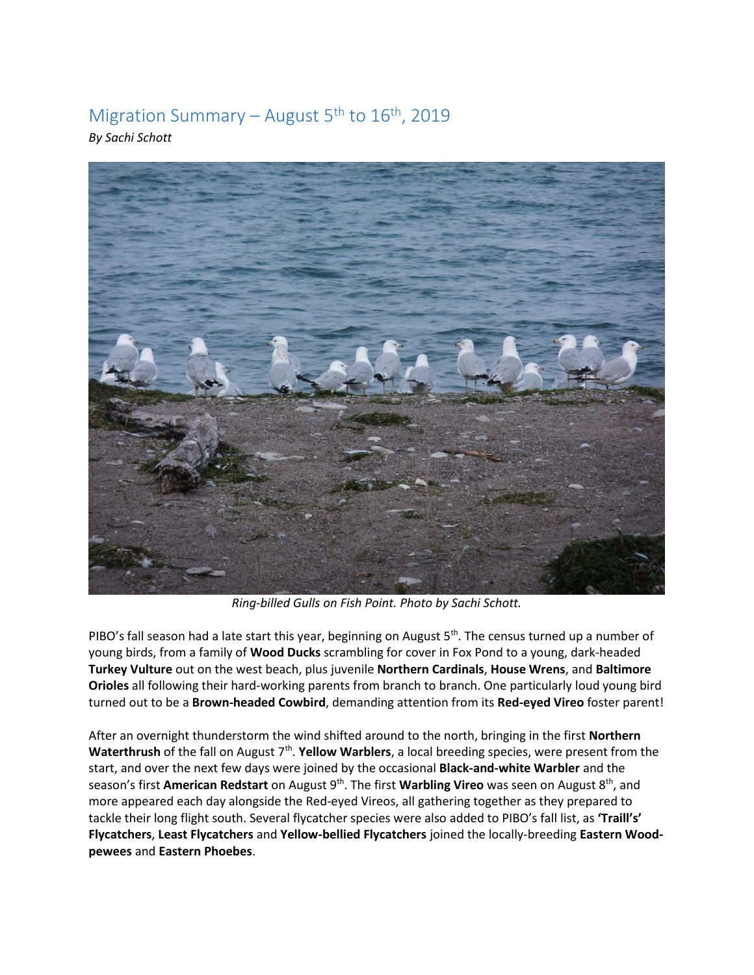## Migration Summary – August  $5<sup>th</sup>$  to  $16<sup>th</sup>$ , 2019

*By Sachi Schott* 



*Ring-billed Gulls on Fish Point. Photo by Sachi Schott.* 

PIBO's fall season had a late start this year, beginning on August 5<sup>th</sup>. The census turned up a number of young birds, from a family of **Wood Ducks** scrambling for cover in Fox Pond to a young, dark-headed **Turkey Vulture** out on the west beach, plus juvenile **Northern Cardinals**, **House Wrens**, and **Baltimore Orioles** all following their hard-working parents from branch to branch. One particularly loud young bird turned out to be a **Brown-headed Cowbird**, demanding attention from its **Red-eyed Vireo** foster parent!

After an overnight thunderstorm the wind shifted around to the north, bringing in the first **Northern**  Waterthrush of the fall on August 7<sup>th</sup>. Yellow Warblers, a local breeding species, were present from the start, and over the next few days were joined by the occasional **Black-and-white Warbler** and the season's first American Redstart on August 9<sup>th</sup>. The first Warbling Vireo was seen on August 8<sup>th</sup>, and more appeared each day alongside the Red-eyed Vireos, all gathering together as they prepared to tackle their long flight south. Several flycatcher species were also added to PIBO's fall list, as **'Traill's' Flycatchers**, **Least Flycatchers** and **Yellow-bellied Flycatchers** joined the locally-breeding **Eastern Woodpewees** and **Eastern Phoebes**.